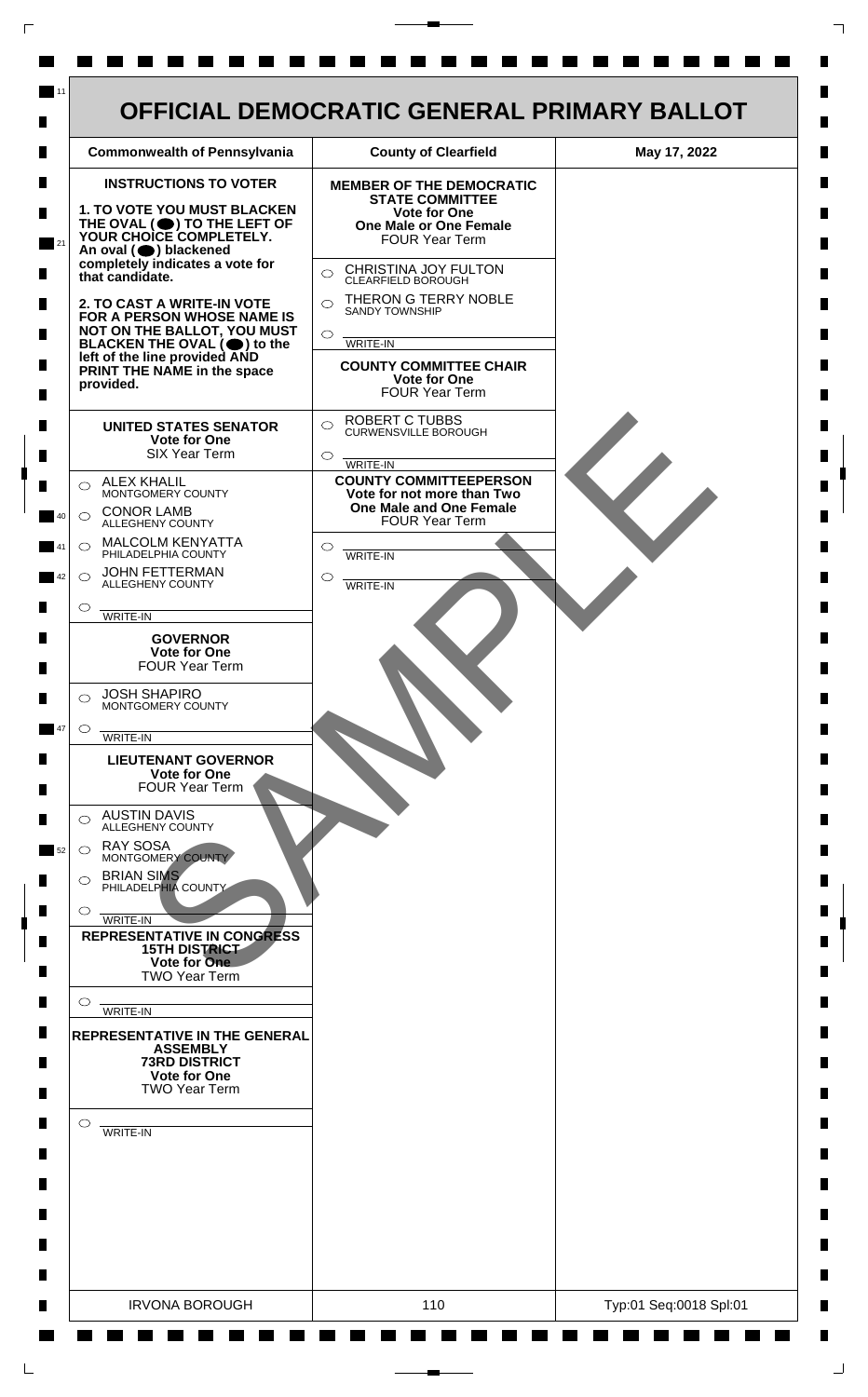

 $\mathsf{L}$ 

 $\Box$